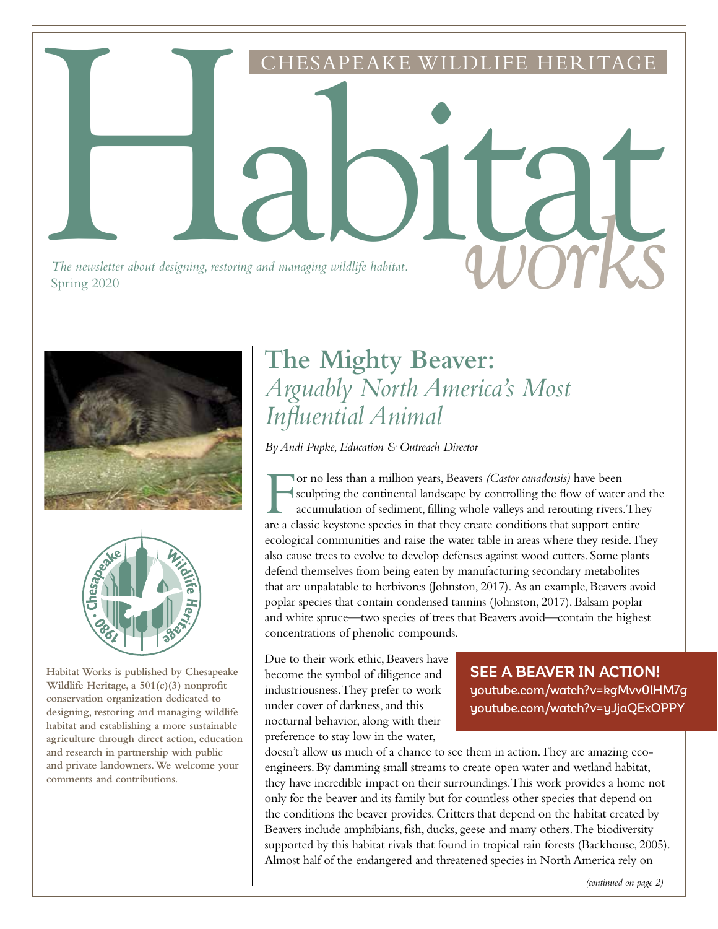The newsletter about designing, restoring and managing wildlife habitat. The newsletter about designing, restoring and managing wildlife habitat.<br>Spring 2020 Spring 2020





**Habitat Works is published by Chesapeake Wildlife Heritage, a 501(c)(3) nonprofit conservation organization dedicated to designing, restoring and managing wildlife habitat and establishing a more sustainable agriculture through direct action, education and research in partnership with public and private landowners. We welcome your comments and contributions.**

### **The Mighty Beaver:** *Arguably North America's Most Influential Animal*

ESAPEAKE WILDLIFE

*By Andi Pupke, Education & Outreach Director* 

For no less than a million years, Beavers *(Castor canadensis)* have been<br>sculpting the continental landscape by controlling the flow of water<br>accumulation of sediment, filling whole valleys and rerouting rivers.<br>are a cla sculpting the continental landscape by controlling the flow of water and the accumulation of sediment, filling whole valleys and rerouting rivers. They are a classic keystone species in that they create conditions that support entire ecological communities and raise the water table in areas where they reside. They also cause trees to evolve to develop defenses against wood cutters. Some plants defend themselves from being eaten by manufacturing secondary metabolites that are unpalatable to herbivores (Johnston, 2017). As an example, Beavers avoid poplar species that contain condensed tannins (Johnston, 2017). Balsam poplar and white spruce—two species of trees that Beavers avoid—contain the highest concentrations of phenolic compounds.

Due to their work ethic, Beavers have become the symbol of diligence and industriousness. They prefer to work under cover of darkness, and this nocturnal behavior, along with their preference to stay low in the water,

**SEE A BEAVER IN ACTION!**  youtube.com/watch?v=kgMvv0lHM7g youtube.com/watch?v=yJjaQExOPPY

doesn't allow us much of a chance to see them in action. They are amazing ecoengineers. By damming small streams to create open water and wetland habitat, they have incredible impact on their surroundings. This work provides a home not only for the beaver and its family but for countless other species that depend on the conditions the beaver provides. Critters that depend on the habitat created by Beavers include amphibians, fish, ducks, geese and many others. The biodiversity supported by this habitat rivals that found in tropical rain forests (Backhouse, 2005). Almost half of the endangered and threatened species in North America rely on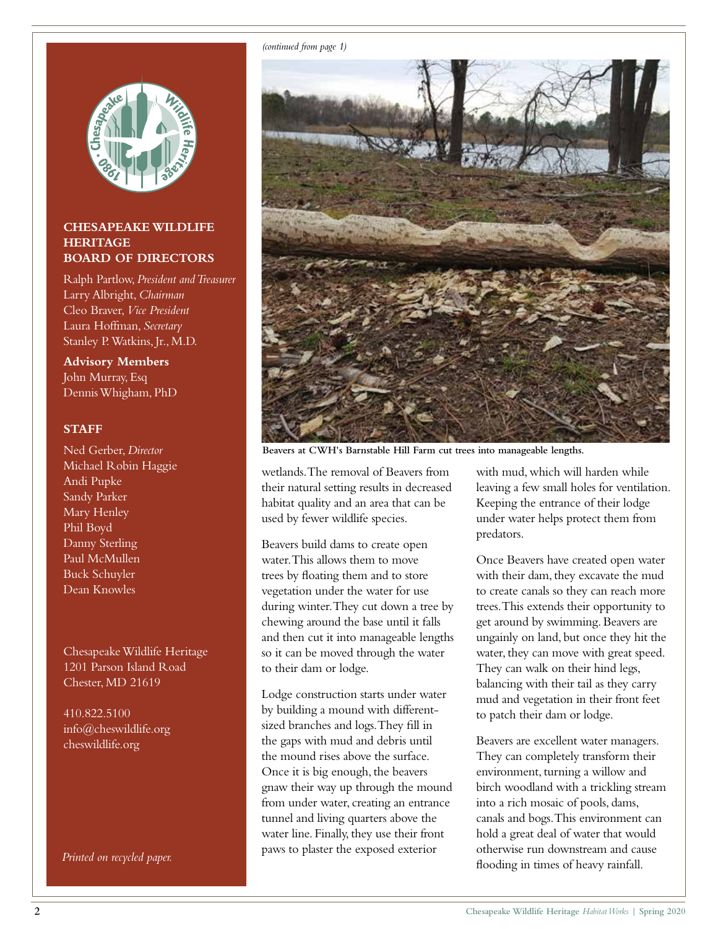

#### **CHESAPEAKE WILDLIFE HERITAGE BOARD OF DIRECTORS**

Ralph Partlow, *President and Treasurer* Larry Albright, *Chairman* Cleo Braver, *Vice President* Laura Hoffman, *Secretary* Stanley P. Watkins, Jr., M.D.

**Advisory Members** John Murray, Esq Dennis Whigham, PhD

#### **STAFF**

Ned Gerber, *Director* Michael Robin Haggie Andi Pupke Sandy Parker Mary Henley Phil Boyd Danny Sterling Paul McMullen Buck Schuyler Dean Knowles

Chesapeake Wildlife Heritage 1201 Parson Island Road Chester, MD 21619

410.822.5100 info@cheswildlife.org cheswildlife.org

*(continued from page 1)*



**Beavers at CWH's Barnstable Hill Farm cut trees into manageable lengths.**

wetlands. The removal of Beavers from their natural setting results in decreased habitat quality and an area that can be used by fewer wildlife species.

Beavers build dams to create open water. This allows them to move trees by floating them and to store vegetation under the water for use during winter. They cut down a tree by chewing around the base until it falls and then cut it into manageable lengths so it can be moved through the water to their dam or lodge.

Lodge construction starts under water by building a mound with differentsized branches and logs. They fill in the gaps with mud and debris until the mound rises above the surface. Once it is big enough, the beavers gnaw their way up through the mound from under water, creating an entrance tunnel and living quarters above the water line. Finally, they use their front paws to plaster the exposed exterior

with mud, which will harden while leaving a few small holes for ventilation. Keeping the entrance of their lodge under water helps protect them from predators.

Once Beavers have created open water with their dam, they excavate the mud to create canals so they can reach more trees. This extends their opportunity to get around by swimming. Beavers are ungainly on land, but once they hit the water, they can move with great speed. They can walk on their hind legs, balancing with their tail as they carry mud and vegetation in their front feet to patch their dam or lodge.

Beavers are excellent water managers. They can completely transform their environment, turning a willow and birch woodland with a trickling stream into a rich mosaic of pools, dams, canals and bogs. This environment can hold a great deal of water that would otherwise run downstream and cause *Printed on recycled paper.* Printed on recycled paper.<br> **Flooding in times of heavy rainfall.**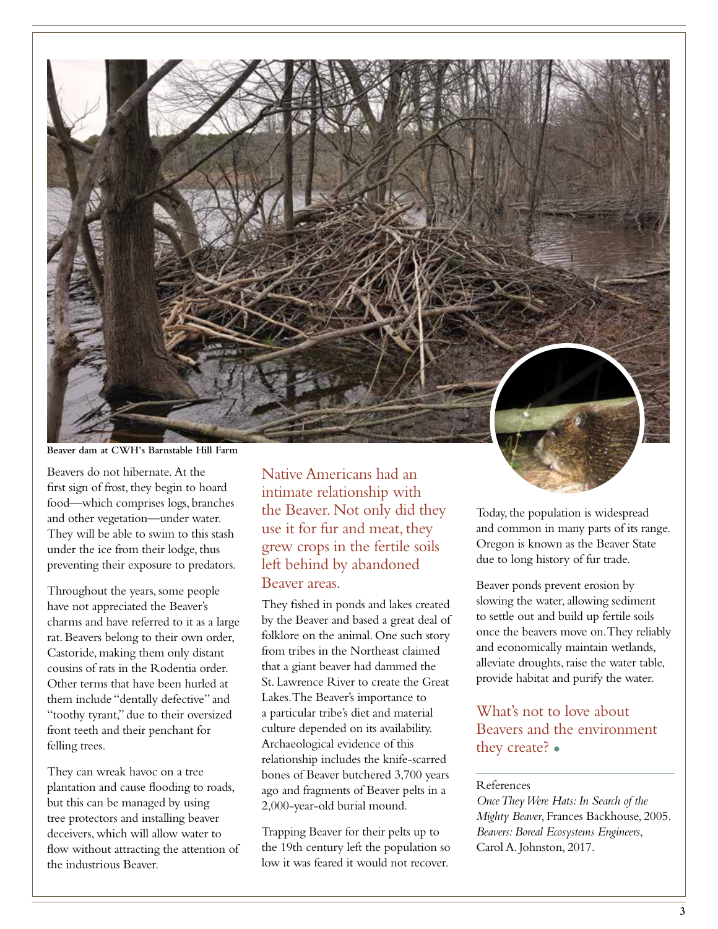

**Beaver dam at CWH's Barnstable Hill Farm**

Beavers do not hibernate. At the first sign of frost, they begin to hoard food—which comprises logs, branches and other vegetation—under water. They will be able to swim to this stash under the ice from their lodge, thus preventing their exposure to predators.

Throughout the years, some people have not appreciated the Beaver's charms and have referred to it as a large rat. Beavers belong to their own order, Castoride, making them only distant cousins of rats in the Rodentia order. Other terms that have been hurled at them include "dentally defective" and "toothy tyrant," due to their oversized front teeth and their penchant for felling trees.

They can wreak havoc on a tree plantation and cause flooding to roads, but this can be managed by using tree protectors and installing beaver deceivers, which will allow water to flow without attracting the attention of the industrious Beaver.

Native Americans had an intimate relationship with the Beaver. Not only did they use it for fur and meat, they grew crops in the fertile soils left behind by abandoned Beaver areas.

They fished in ponds and lakes created by the Beaver and based a great deal of folklore on the animal. One such story from tribes in the Northeast claimed that a giant beaver had dammed the St. Lawrence River to create the Great Lakes. The Beaver's importance to a particular tribe's diet and material culture depended on its availability. Archaeological evidence of this relationship includes the knife-scarred bones of Beaver butchered 3,700 years ago and fragments of Beaver pelts in a 2,000-year-old burial mound.

Trapping Beaver for their pelts up to the 19th century left the population so low it was feared it would not recover.

Today, the population is widespread and common in many parts of its range. Oregon is known as the Beaver State due to long history of fur trade.

Beaver ponds prevent erosion by slowing the water, allowing sediment to settle out and build up fertile soils once the beavers move on. They reliably and economically maintain wetlands, alleviate droughts, raise the water table, provide habitat and purify the water.

#### What's not to love about Beavers and the environment they create? •

#### References

*Once They Were Hats: In Search of the Mighty Beaver*, Frances Backhouse, 2005. *Beavers: Boreal Ecosystems Engineers*, Carol A. Johnston, 2017.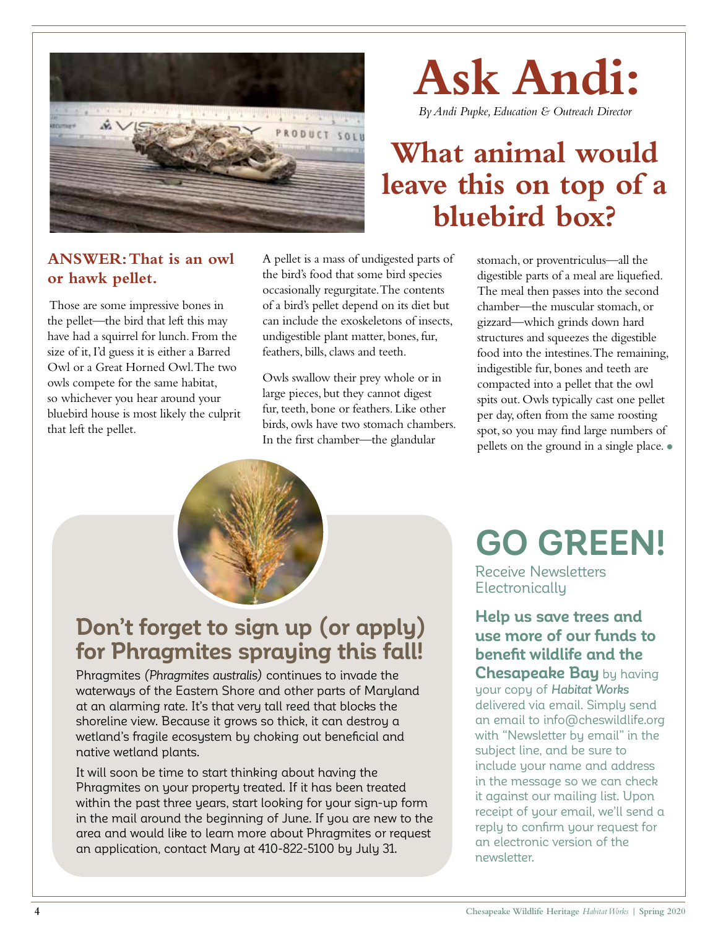

# **Ask Andi:**

*By Andi Pupke, Education & Outreach Director*

## **What animal would leave this on top of a bluebird box?**

#### **ANSWER: That is an owl or hawk pellet.**

 Those are some impressive bones in the pellet—the bird that left this may have had a squirrel for lunch. From the size of it, I'd guess it is either a Barred Owl or a Great Horned Owl. The two owls compete for the same habitat, so whichever you hear around your bluebird house is most likely the culprit that left the pellet.

A pellet is a mass of undigested parts of the bird's food that some bird species occasionally regurgitate. The contents of a bird's pellet depend on its diet but can include the exoskeletons of insects, undigestible plant matter, bones, fur, feathers, bills, claws and teeth.

Owls swallow their prey whole or in large pieces, but they cannot digest fur, teeth, bone or feathers. Like other birds, owls have two stomach chambers. In the first chamber—the glandular

stomach, or proventriculus—all the digestible parts of a meal are liquefied. The meal then passes into the second chamber—the muscular stomach, or gizzard—which grinds down hard structures and squeezes the digestible food into the intestines. The remaining, indigestible fur, bones and teeth are compacted into a pellet that the owl spits out. Owls typically cast one pellet per day, often from the same roosting spot, so you may find large numbers of pellets on the ground in a single place. •



### **Don't forget to sign up (or apply) for Phragmites spraying this fall!**

Phragmites *(Phragmites australis)* continues to invade the waterways of the Eastern Shore and other parts of Maryland at an alarming rate. It's that very tall reed that blocks the shoreline view. Because it grows so thick, it can destroy a wetland's fragile ecosystem by choking out beneficial and native wetland plants.

It will soon be time to start thinking about having the Phragmites on your property treated. If it has been treated within the past three years, start looking for your sign-up form in the mail around the beginning of June. If you are new to the area and would like to learn more about Phragmites or request an application, contact Mary at 410-822-5100 by July 31.

## **GO GREEN!**

Receive Newsletters **Electronically** 

**Help us save trees and use more of our funds to benefit wildlife and the Chesapeake Bay** by having your copy of *Habitat Works* delivered via email. Simply send an email to info@cheswildlife.org with "Newsletter by email" in the subject line, and be sure to include your name and address in the message so we can check it against our mailing list. Upon receipt of your email, we'll send a reply to confirm your request for an electronic version of the newsletter.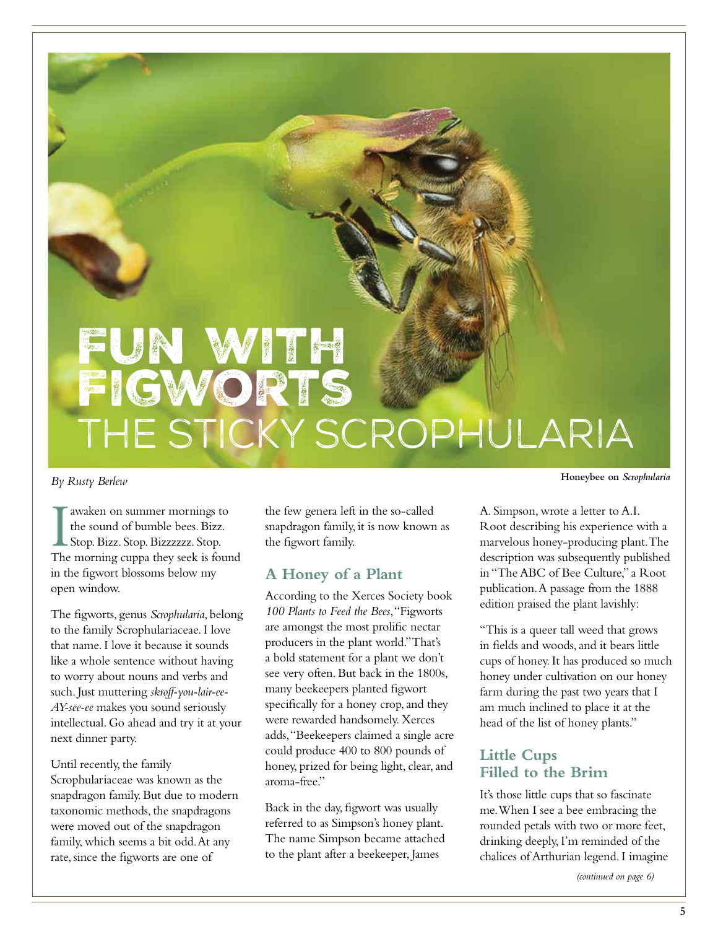## FUN WITH Figworts the Sticky Scrophularia

*By Rusty Berlew*

T awaken on summer mornings to<br>the sound of bumble bees. Bizz.<br>Stop. Bizz. Stop. Bizzzzzzz. Stop.<br>The morning cuppa they seek is found awaken on summer mornings to the sound of bumble bees. Bizz. Stop. Bizz. Stop. Bizzzzzz. Stop. in the figwort blossoms below my open window.

The figworts, genus *Scrophularia*, belong to the family Scrophulariaceae. I love that name. I love it because it sounds like a whole sentence without having to worry about nouns and verbs and such. Just muttering *skroff-you-lair-ee-AY-see-ee* makes you sound seriously intellectual. Go ahead and try it at your next dinner party.

Until recently, the family Scrophulariaceae was known as the snapdragon family. But due to modern taxonomic methods, the snapdragons were moved out of the snapdragon family, which seems a bit odd. At any rate, since the figworts are one of

the few genera left in the so-called snapdragon family, it is now known as the figwort family.

#### **A Honey of a Plant**

According to the Xerces Society book *100 Plants to Feed the Bees*, "Figworts are amongst the most prolific nectar producers in the plant world." That's a bold statement for a plant we don't see very often. But back in the 1800s, many beekeepers planted figwort specifically for a honey crop, and they were rewarded handsomely. Xerces adds, "Beekeepers claimed a single acre could produce 400 to 800 pounds of honey, prized for being light, clear, and aroma-free."

Back in the day, figwort was usually referred to as Simpson's honey plant. The name Simpson became attached to the plant after a beekeeper, James

**Honeybee on** *Scrophularia*

A. Simpson, wrote a letter to A.I. Root describing his experience with a marvelous honey-producing plant. The description was subsequently published in "The ABC of Bee Culture," a Root publication. A passage from the 1888 edition praised the plant lavishly:

"This is a queer tall weed that grows in fields and woods, and it bears little cups of honey. It has produced so much honey under cultivation on our honey farm during the past two years that I am much inclined to place it at the head of the list of honey plants."

#### **Little Cups Filled to the Brim**

It's those little cups that so fascinate me. When I see a bee embracing the rounded petals with two or more feet, drinking deeply, I'm reminded of the chalices of Arthurian legend. I imagine

*(continued on page 6)*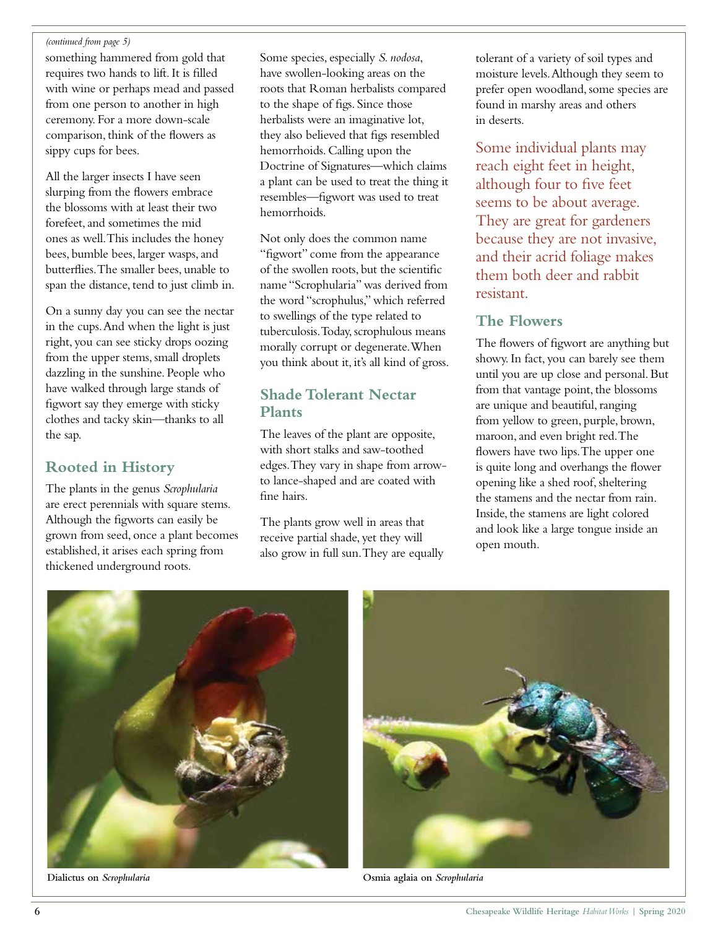#### *(continued from page 5)*

something hammered from gold that requires two hands to lift. It is filled with wine or perhaps mead and passed from one person to another in high ceremony. For a more down-scale comparison, think of the flowers as sippy cups for bees.

All the larger insects I have seen slurping from the flowers embrace the blossoms with at least their two forefeet, and sometimes the mid ones as well. This includes the honey bees, bumble bees, larger wasps, and butterflies. The smaller bees, unable to span the distance, tend to just climb in.

On a sunny day you can see the nectar in the cups. And when the light is just right, you can see sticky drops oozing from the upper stems, small droplets dazzling in the sunshine. People who have walked through large stands of figwort say they emerge with sticky clothes and tacky skin—thanks to all the sap.

#### **Rooted in History**

The plants in the genus *Scrophularia* are erect perennials with square stems. Although the figworts can easily be grown from seed, once a plant becomes established, it arises each spring from thickened underground roots.

Some species, especially *S. nodosa*, have swollen-looking areas on the roots that Roman herbalists compared to the shape of figs. Since those herbalists were an imaginative lot, they also believed that figs resembled hemorrhoids. Calling upon the Doctrine of Signatures—which claims a plant can be used to treat the thing it resembles—figwort was used to treat hemorrhoids.

Not only does the common name "figwort" come from the appearance of the swollen roots, but the scientific name "Scrophularia" was derived from the word "scrophulus," which referred to swellings of the type related to tuberculosis. Today, scrophulous means morally corrupt or degenerate. When you think about it, it's all kind of gross.

#### **Shade Tolerant Nectar Plants**

The leaves of the plant are opposite, with short stalks and saw-toothed edges. They vary in shape from arrowto lance-shaped and are coated with fine hairs.

The plants grow well in areas that receive partial shade, yet they will also grow in full sun. They are equally tolerant of a variety of soil types and moisture levels. Although they seem to prefer open woodland, some species are found in marshy areas and others in deserts.

Some individual plants may reach eight feet in height, although four to five feet seems to be about average. They are great for gardeners because they are not invasive, and their acrid foliage makes them both deer and rabbit resistant.

#### **The Flowers**

The flowers of figwort are anything but showy. In fact, you can barely see them until you are up close and personal. But from that vantage point, the blossoms are unique and beautiful, ranging from yellow to green, purple, brown, maroon, and even bright red. The flowers have two lips. The upper one is quite long and overhangs the flower opening like a shed roof, sheltering the stamens and the nectar from rain. Inside, the stamens are light colored and look like a large tongue inside an open mouth.





**Dialictus on** *Scrophularia* **Osmia aglaia on** *Scrophularia*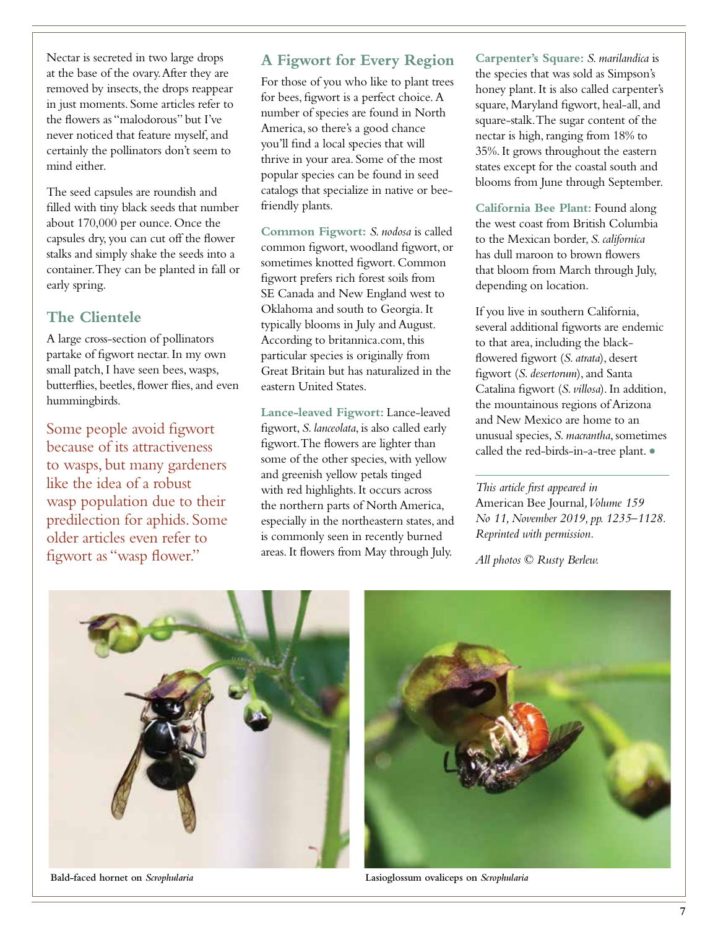Nectar is secreted in two large drops at the base of the ovary. After they are removed by insects, the drops reappear in just moments. Some articles refer to the flowers as "malodorous" but I've never noticed that feature myself, and certainly the pollinators don't seem to mind either.

The seed capsules are roundish and filled with tiny black seeds that number about 170,000 per ounce. Once the capsules dry, you can cut off the flower stalks and simply shake the seeds into a container. They can be planted in fall or early spring.

#### **The Clientele**

A large cross-section of pollinators partake of figwort nectar. In my own small patch, I have seen bees, wasps, butterflies, beetles, flower flies, and even hummingbirds.

Some people avoid figwort because of its attractiveness to wasps, but many gardeners like the idea of a robust wasp population due to their predilection for aphids. Some older articles even refer to figwort as "wasp flower."

#### **A Figwort for Every Region**

For those of you who like to plant trees for bees, figwort is a perfect choice. A number of species are found in North America, so there's a good chance you'll find a local species that will thrive in your area. Some of the most popular species can be found in seed catalogs that specialize in native or beefriendly plants.

**Common Figwort:** *S. nodosa* is called common figwort, woodland figwort, or sometimes knotted figwort. Common figwort prefers rich forest soils from SE Canada and New England west to Oklahoma and south to Georgia. It typically blooms in July and August. According to britannica.com, this particular species is originally from Great Britain but has naturalized in the eastern United States.

**Lance-leaved Figwort:** Lance-leaved figwort, *S. lanceolata*, is also called early figwort. The flowers are lighter than some of the other species, with yellow and greenish yellow petals tinged with red highlights. It occurs across the northern parts of North America, especially in the northeastern states, and is commonly seen in recently burned areas. It flowers from May through July.

**Carpenter's Square:** *S. marilandica* is the species that was sold as Simpson's honey plant. It is also called carpenter's square, Maryland figwort, heal-all, and square-stalk. The sugar content of the nectar is high, ranging from 18% to 35%. It grows throughout the eastern states except for the coastal south and blooms from June through September.

**California Bee Plant:** Found along the west coast from British Columbia to the Mexican border, *S. californica* has dull maroon to brown flowers that bloom from March through July, depending on location.

If you live in southern California, several additional figworts are endemic to that area, including the blackflowered figwort (*S. atrata*), desert figwort (*S. desertorum*), and Santa Catalina figwort (*S. villosa*). In addition, the mountainous regions of Arizona and New Mexico are home to an unusual species, *S. macrantha*, sometimes called the red-birds-in-a-tree plant. •

*This article first appeared in*  American Bee Journal*, Volume 159 No 11, November 2019, pp. 1235–1128. Reprinted with permission.*

*All photos © Rusty Berlew.*





**Bald-faced hornet on** *Scrophularia* **Lasioglossum ovaliceps on** *Scrophularia*